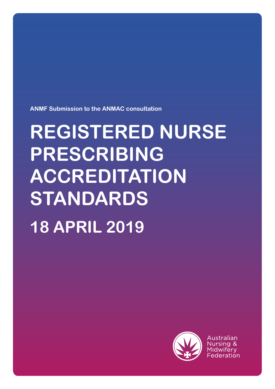**ANMF Submission to the ANMAC consultation**

# **REGISTERED NURSE PRESCRIBING ACCREDITATION STANDARDS 18 APRIL 2019**



Australian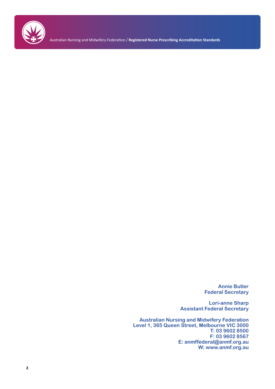

Australian Nursing and Midwifery Federation / **Registered Nurse Prescribing Accreditation Standards**

**Annie Butler Federal Secretary**

**Lori-anne Sharp Assistant Federal Secretary**

**Australian Nursing and Midwifery Federation Level 1, 365 Queen Street, Melbourne VIC 3000 T: 03 9602 8500 F: 03 9602 8567 E: anmffederal@anmf.org.au W: www.anmf.org.au**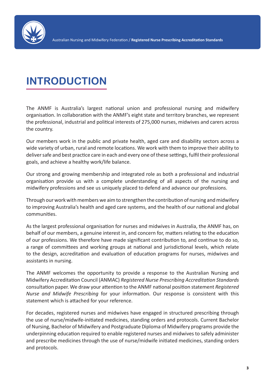

### **INTRODUCTION**

The ANMF is Australia's largest national union and professional nursing and midwifery organisation. In collaboration with the ANMF's eight state and territory branches, we represent the professional, industrial and political interests of 275,000 nurses, midwives and carers across the country.

Our members work in the public and private health, aged care and disability sectors across a wide variety of urban, rural and remote locations. We work with them to improve their ability to deliver safe and best practice care in each and every one of these settings, fulfil their professional goals, and achieve a healthy work/life balance.

Our strong and growing membership and integrated role as both a professional and industrial organisation provide us with a complete understanding of all aspects of the nursing and midwifery professions and see us uniquely placed to defend and advance our professions.

Through our work with members we aim to strengthen the contribution of nursing and midwifery to improving Australia's health and aged care systems, and the health of our national and global communities.

As the largest professional organisation for nurses and midwives in Australia, the ANMF has, on behalf of our members, a genuine interest in, and concern for, matters relating to the education of our professions. We therefore have made significant contribution to, and continue to do so, a range of committees and working groups at national and jurisdictional levels, which relate to the design, accreditation and evaluation of education programs for nurses, midwives and assistants in nursing.

The ANMF welcomes the opportunity to provide a response to the Australian Nursing and Midwifery Accreditation Council (ANMAC) *Registered Nurse Prescribing Accreditation Standards*  consultation paper. We draw your attention to the ANMF national position statement *Registered Nurse and Midwife Prescribing* for your information. Our response is consistent with this statement which is attached for your reference.

For decades, registered nurses and midwives have engaged in structured prescribing through the use of nurse/midwife-initiated medicines, standing orders and protocols. Current Bachelor of Nursing, Bachelor of Midwifery and Postgraduate Diploma of Midwifery programs provide the underpinning education required to enable registered nurses and midwives to safely administer and prescribe medicines through the use of nurse/midwife initiated medicines, standing orders and protocols.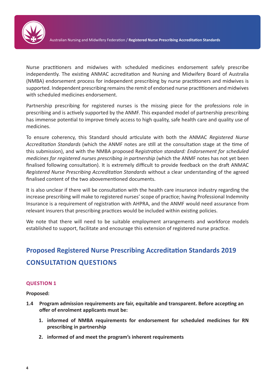

Nurse practitioners and midwives with scheduled medicines endorsement safely prescribe independently. The existing ANMAC accreditation and Nursing and Midwifery Board of Australia (NMBA) endorsement process for independent prescribing by nurse practitioners and midwives is supported. Independent prescribing remains the remit of endorsed nurse practitioners and midwives with scheduled medicines endorsement.

Partnership prescribing for registered nurses is the missing piece for the professions role in prescribing and is actively supported by the ANMF. This expanded model of partnership prescribing has immense potential to improve timely access to high quality, safe health care and quality use of medicines.

To ensure coherency, this Standard should articulate with both the ANMAC *Registered Nurse Accreditation Standards* (which the ANMF notes are still at the consultation stage at the time of this submission), and with the NMBA proposed R*egistration standard: Endorsement for scheduled medicines for registered nurses prescribing in partnership* (which the ANMF notes has not yet been finalised following consultation). It is extremely difficult to provide feedback on the draft ANMAC *Registered Nurse Prescribing Accreditation Standards* without a clear understanding of the agreed finalised content of the two abovementioned documents.

It is also unclear if there will be consultation with the health care insurance industry regarding the increase prescribing will make to registered nurses' scope of practice; having Professional Indemnity Insurance is a requirement of registration with AHPRA, and the ANMF would need assurance from relevant insurers that prescribing practices would be included within existing policies.

We note that there will need to be suitable employment arrangements and workforce models established to support, facilitate and encourage this extension of registered nurse practice.

### **Proposed Registered Nurse Prescribing Accreditation Standards 2019 CONSULTATION QUESTIONS**

#### **QUESTION 1**

**Proposed:** 

- **1.4 Program admission requirements are fair, equitable and transparent. Before accepting an offer of enrolment applicants must be:**
	- **1. informed of NMBA requirements for endorsement for scheduled medicines for RN prescribing in partnership**
	- **2. informed of and meet the program's inherent requirements**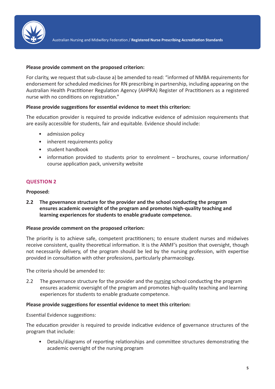

#### **Please provide comment on the proposed criterion:**

For clarity, we request that sub-clause a) be amended to read: "informed of NMBA requirements for endorsement for scheduled medicines for RN prescribing in partnership, including appearing on the Australian Health Practitioner Regulation Agency (AHPRA) Register of Practitioners as a registered nurse with no conditions on registration."

#### **Please provide suggestions for essential evidence to meet this criterion:**

The education provider is required to provide indicative evidence of admission requirements that are easily accessible for students, fair and equitable. Evidence should include:

- admission policy
- inherent requirements policy
- student handbook
- information provided to students prior to enrolment brochures, course information/ course application pack, university website

#### **QUESTION 2**

#### **Proposed:**

**2.2 The governance structure for the provider and the school conducting the program ensures academic oversight of the program and promotes high-quality teaching and learning experiences for students to enable graduate competence.** 

#### **Please provide comment on the proposed criterion:**

The priority is to achieve safe, competent practitioners; to ensure student nurses and midwives receive consistent, quality theoretical information. It is the ANMF's position that oversight, though not necessarily delivery, of the program should be led by the nursing profession, with expertise provided in consultation with other professions, particularly pharmacology.

The criteria should be amended to:

2.2 The governance structure for the provider and the nursing school conducting the program ensures academic oversight of the program and promotes high-quality teaching and learning experiences for students to enable graduate competence.

#### **Please provide suggestions for essential evidence to meet this criterion:**

Essential Evidence suggestions:

The education provider is required to provide indicative evidence of governance structures of the program that include:

• Details/diagrams of reporting relationships and committee structures demonstrating the academic oversight of the nursing program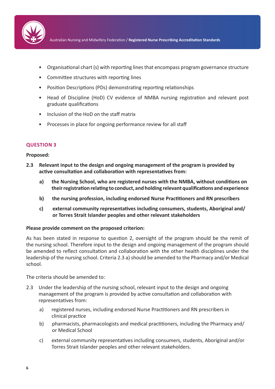

Australian Nursing and Midwifery Federation / **Registered Nurse Prescribing Accreditation Standards**

- Organisational chart (s) with reporting lines that encompass program governance structure
- Committee structures with reporting lines
- Position Descriptions (PDs) demonstrating reporting relationships
- Head of Discipline (HoD) CV evidence of NMBA nursing registration and relevant post graduate qualifications
- Inclusion of the HoD on the staff matrix
- Processes in place for ongoing performance review for all staff

#### **QUESTION 3**

#### **Proposed:**

- **2.3 Relevant input to the design and ongoing management of the program is provided by active consultation and collaboration with representatives from:**
	- **a) the Nursing School, who are registered nurses with the NMBA, without conditions on their registration relating to conduct, and holding relevant qualifications and experience**
	- **b) the nursing profession, including endorsed Nurse Practitioners and RN prescribers**
	- **c) external community representatives including consumers, students, Aboriginal and/ or Torres Strait Islander peoples and other relevant stakeholders**

#### **Please provide comment on the proposed criterion:**

As has been stated in response to question 2, oversight of the program should be the remit of the nursing school. Therefore input to the design and ongoing management of the program should be amended to reflect consultation and collaboration with the other health disciplines under the leadership of the nursing school. Criteria 2.3 a) should be amended to the Pharmacy and/or Medical school.

The criteria should be amended to:

- 2.3 Under the leadership of the nursing school, relevant input to the design and ongoing management of the program is provided by active consultation and collaboration with representatives from:
	- a) registered nurses, including endorsed Nurse Practitioners and RN prescribers in clinical practice
	- b) pharmacists, pharmacologists and medical practitioners, including the Pharmacy and/ or Medical School
	- c) external community representatives including consumers, students, Aboriginal and/or Torres Strait Islander peoples and other relevant stakeholders.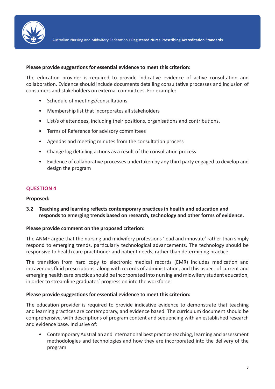

#### **Please provide suggestions for essential evidence to meet this criterion:**

The education provider is required to provide indicative evidence of active consultation and collaboration. Evidence should include documents detailing consultative processes and inclusion of consumers and stakeholders on external committees. For example:

- Schedule of meetings/consultations
- Membership list that incorporates all stakeholders
- List/s of attendees, including their positions, organisations and contributions.
- Terms of Reference for advisory committees
- Agendas and meeting minutes from the consultation process
- Change log detailing actions as a result of the consultation process
- Evidence of collaborative processes undertaken by any third party engaged to develop and design the program

#### **QUESTION 4**

#### **Proposed:**

#### **3.2 Teaching and learning reflects contemporary practices in health and education and responds to emerging trends based on research, technology and other forms of evidence.**

#### **Please provide comment on the proposed criterion:**

The ANMF argue that the nursing and midwifery professions 'lead and innovate' rather than simply respond to emerging trends, particularly technological advancements. The technology should be responsive to health care practitioner and patient needs, rather than determining practice.

The transition from hard copy to electronic medical records (EMR) includes medication and intravenous fluid prescriptions, along with records of administration, and this aspect of current and emerging health care practice should be incorporated into nursing and midwifery student education, in order to streamline graduates' progression into the workforce.

#### **Please provide suggestions for essential evidence to meet this criterion:**

The education provider is required to provide indicative evidence to demonstrate that teaching and learning practices are contemporary, and evidence based. The curriculum document should be comprehensive, with descriptions of program content and sequencing with an established research and evidence base. Inclusive of:

• Contemporary Australian and international best practice teaching, learning and assessment methodologies and technologies and how they are incorporated into the delivery of the program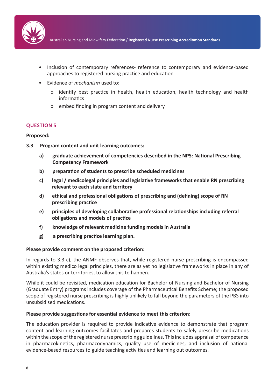

- Inclusion of contemporary references- reference to contemporary and evidence-based approaches to registered nursing practice and education
- Evidence of *mechanism* used to:
	- o identify best practice in health, health education, health technology and health informatics
	- o embed finding in program content and delivery

#### **QUESTION 5**

#### **Proposed:**

- **3.3 Program content and unit learning outcomes:**
	- **a) graduate achievement of competencies described in the NPS: National Prescribing Competency Framework**
	- **b) preparation of students to prescribe scheduled medicines**
	- **c) legal / medicolegal principles and legislative frameworks that enable RN prescribing relevant to each state and territory**
	- **d) ethical and professional obligations of prescribing and (defining) scope of RN prescribing practice**
	- **e) principles of developing collaborative professional relationships including referral obligations and models of practice**
	- **f) knowledge of relevant medicine funding models in Australia**
	- **g) a prescribing practice learning plan.**

#### **Please provide comment on the proposed criterion:**

In regards to 3.3 c), the ANMF observes that, while registered nurse prescribing is encompassed within existing medico legal principles, there are as yet no legislative frameworks in place in any of Australia's states or territories, to allow this to happen.

While it could be revisited, medication education for Bachelor of Nursing and Bachelor of Nursing (Graduate Entry) programs includes coverage of the Pharmaceutical Benefits Scheme; the proposed scope of registered nurse prescribing is highly unlikely to fall beyond the parameters of the PBS into unsubsidised medications.

#### **Please provide suggestions for essential evidence to meet this criterion:**

The education provider is required to provide indicative evidence to demonstrate that program content and learning outcomes facilitates and prepares students to safely prescribe medications within the scope of the registered nurse prescribing guidelines. This includes appraisal of competence in pharmacokinetics, pharmacodynamics, quality use of medicines, and inclusion of national evidence-based resources to guide teaching activities and learning out outcomes.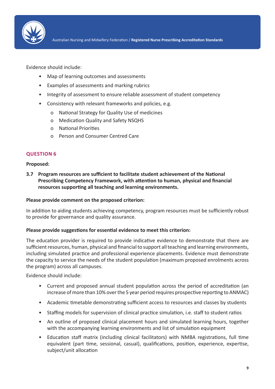

Evidence should include:

- Map of learning outcomes and assessments
- Examples of assessments and marking rubrics
- Integrity of assessment to ensure reliable assessment of student competency
- Consistency with relevant frameworks and policies, e.g.
	- o National Strategy for Quality Use of medicines
	- o Medication Quality and Safety NSQHS
	- o National Priorities
	- o Person and Consumer Centred Care

#### **QUESTION 6**

#### **Proposed:**

**3.7 Program resources are sufficient to facilitate student achievement of the National Prescribing Competency Framework, with attention to human, physical and financial resources supporting all teaching and learning environments.**

#### **Please provide comment on the proposed criterion:**

In addition to aiding students achieving competency, program resources must be sufficiently robust to provide for governance and quality assurance.

#### **Please provide suggestions for essential evidence to meet this criterion:**

The education provider is required to provide indicative evidence to demonstrate that there are sufficient resources, human, physical and financial to support all teaching and learning environments, including simulated practice and professional experience placements. Evidence must demonstrate the capacity to service the needs of the student population (maximum proposed enrolments across the program) across all campuses.

Evidence should include:

- Current and proposed annual student population across the period of accreditation (an increase of more than 10% over the 5 year period requires prospective reporting to ANMAC)
- Academic timetable demonstrating sufficient access to resources and classes by students
- Staffing models for supervision of clinical practice simulation, i.e. staff to student ratios
- An outline of proposed clinical placement hours and simulated learning hours, together with the accompanying learning environments and list of simulation equipment
- Education staff matrix (including clinical facilitators) with NMBA registrations, full time equivalent (part time, sessional, casual), qualifications, position, experience, expertise, subject/unit allocation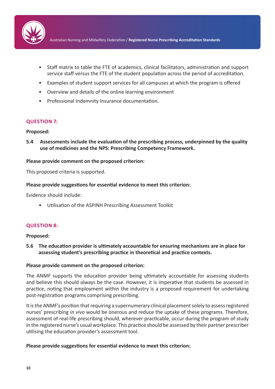

- Staff matrix to table the FTE of academics, clinical facilitators, administration and support service staff versus the FTE of the student population across the period of accreditation.
- Examples of student support services for all campuses at which the program is offered
- Overview and details of the online learning environment
- Professional Indemnity Insurance documentation.

#### **QUESTION 7:**

#### **Proposed:**

**5.4 Assessments include the evaluation of the prescribing process, underpinned by the quality use of medicines and the NPS: Prescribing Competency Framework.**

#### **Please provide comment on the proposed criterion:**

This proposed criteria is supported.

#### **Please provide suggestions for essential evidence to meet this criterion:**

Evidence should include:

• Utilisation of the ASPINH Prescribing Assessment Toolkit

#### **QUESTION 8:**

#### **Proposed:**

**5.6 The education provider is ultimately accountable for ensuring mechanisms are in place for assessing student's prescribing practice in theoretical and practice contexts.**

#### **Please provide comment on the proposed criterion:**

The ANMF supports the education provider being ultimately accountable for assessing students and believe this should always be the case. However, it is imperative that students be assessed in practice, noting that employment within the industry is a proposed requirement for undertaking post-registration programs comprising prescribing.

It is the ANMF's position that requiring a supernumerary clinical placement solely to assess registered nurses' prescribing *in vivo* would be onerous and reduce the uptake of these programs. Therefore, assessment of real-life prescribing should, wherever practicable, occur during the program of study in the registered nurse's usual workplace. This practice should be assessed by their partner prescriber utilising the education provider's assessment tool.

#### **Please provide suggestions for essential evidence to meet this criterion:**